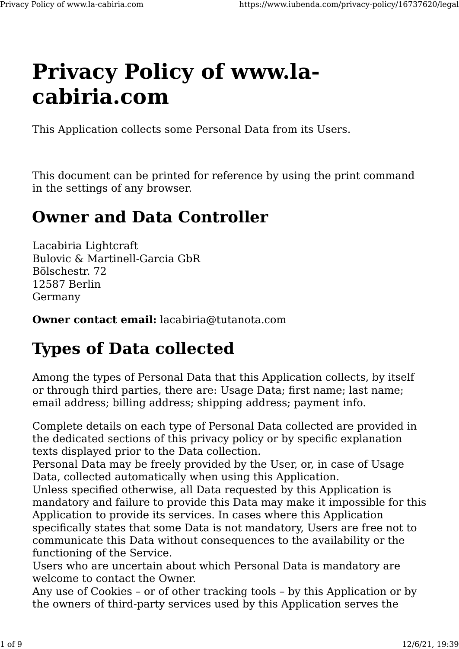# **Privacy Policy of www.lacabiria.com**

This Application collects some Personal Data from its Users.

This document can be printed for reference by using the print command in the settings of any browser.

## **Owner and Data Controller**

Lacabiria Lightcraft Bulovic & Martinell-Garcia GbR Bölschestr. 72 12587 Berlin Germany

**Owner contact email:** lacabiria@tutanota.com

## **Types of Data collected**

Among the types of Personal Data that this Application collects, by itself or through third parties, there are: Usage Data; first name; last name; email address; billing address; shipping address; payment info.

Complete details on each type of Personal Data collected are provided in the dedicated sections of this privacy policy or by specific explanation texts displayed prior to the Data collection.

Personal Data may be freely provided by the User, or, in case of Usage Data, collected automatically when using this Application.

Unless specified otherwise, all Data requested by this Application is mandatory and failure to provide this Data may make it impossible for this Application to provide its services. In cases where this Application specifically states that some Data is not mandatory, Users are free not to communicate this Data without consequences to the availability or the functioning of the Service.

Users who are uncertain about which Personal Data is mandatory are welcome to contact the Owner.

Any use of Cookies – or of other tracking tools – by this Application or by the owners of third-party services used by this Application serves the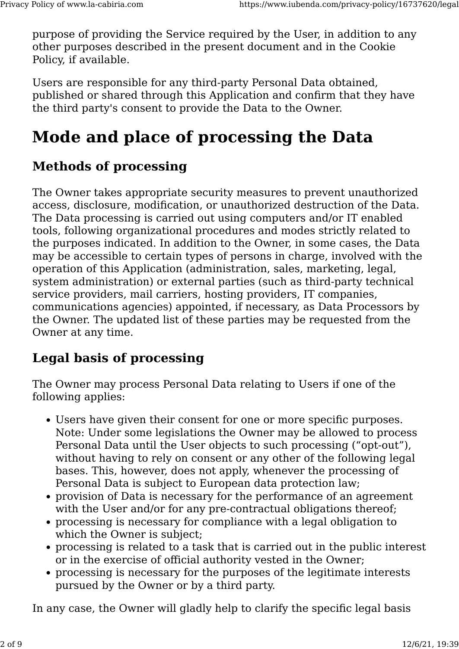purpose of providing the Service required by the User, in addition to any other purposes described in the present document and in the Cookie Policy, if available.

Users are responsible for any third-party Personal Data obtained, published or shared through this Application and confirm that they have the third party's consent to provide the Data to the Owner.

## **Mode and place of processing the Data**

## **Methods of processing**

The Owner takes appropriate security measures to prevent unauthorized access, disclosure, modification, or unauthorized destruction of the Data. The Data processing is carried out using computers and/or IT enabled tools, following organizational procedures and modes strictly related to the purposes indicated. In addition to the Owner, in some cases, the Data may be accessible to certain types of persons in charge, involved with the operation of this Application (administration, sales, marketing, legal, system administration) or external parties (such as third-party technical service providers, mail carriers, hosting providers, IT companies, communications agencies) appointed, if necessary, as Data Processors by the Owner. The updated list of these parties may be requested from the Owner at any time.

## **Legal basis of processing**

The Owner may process Personal Data relating to Users if one of the following applies:

- Users have given their consent for one or more specific purposes. Note: Under some legislations the Owner may be allowed to process Personal Data until the User objects to such processing ("opt-out"), without having to rely on consent or any other of the following legal bases. This, however, does not apply, whenever the processing of Personal Data is subject to European data protection law;
- provision of Data is necessary for the performance of an agreement with the User and/or for any pre-contractual obligations thereof;
- processing is necessary for compliance with a legal obligation to which the Owner is subject;
- processing is related to a task that is carried out in the public interest or in the exercise of official authority vested in the Owner;
- processing is necessary for the purposes of the legitimate interests pursued by the Owner or by a third party.

In any case, the Owner will gladly help to clarify the specific legal basis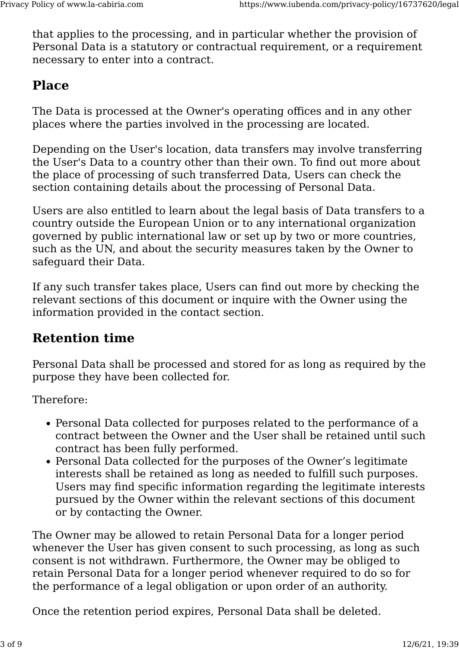that applies to the processing, and in particular whether the provision of Personal Data is a statutory or contractual requirement, or a requirement necessary to enter into a contract.

## **Place**

The Data is processed at the Owner's operating offices and in any other places where the parties involved in the processing are located.

Depending on the User's location, data transfers may involve transferring the User's Data to a country other than their own. To find out more about the place of processing of such transferred Data, Users can check the section containing details about the processing of Personal Data.

Users are also entitled to learn about the legal basis of Data transfers to a country outside the European Union or to any international organization governed by public international law or set up by two or more countries, such as the UN, and about the security measures taken by the Owner to safeguard their Data.

If any such transfer takes place, Users can find out more by checking the relevant sections of this document or inquire with the Owner using the information provided in the contact section.

### **Retention time**

Personal Data shall be processed and stored for as long as required by the purpose they have been collected for.

Therefore:

- Personal Data collected for purposes related to the performance of a contract between the Owner and the User shall be retained until such contract has been fully performed.
- Personal Data collected for the purposes of the Owner's legitimate interests shall be retained as long as needed to fulfill such purposes. Users may find specific information regarding the legitimate interests pursued by the Owner within the relevant sections of this document or by contacting the Owner.

The Owner may be allowed to retain Personal Data for a longer period whenever the User has given consent to such processing, as long as such consent is not withdrawn. Furthermore, the Owner may be obliged to retain Personal Data for a longer period whenever required to do so for the performance of a legal obligation or upon order of an authority.

Once the retention period expires, Personal Data shall be deleted.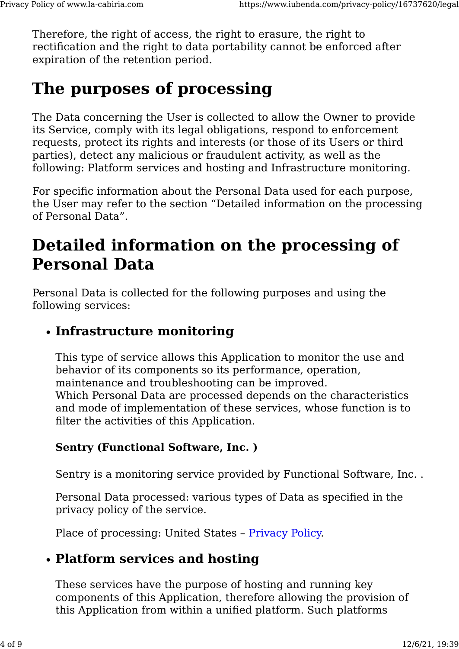Therefore, the right of access, the right to erasure, the right to rectification and the right to data portability cannot be enforced after expiration of the retention period.

## **The purposes of processing**

The Data concerning the User is collected to allow the Owner to provide its Service, comply with its legal obligations, respond to enforcement requests, protect its rights and interests (or those of its Users or third parties), detect any malicious or fraudulent activity, as well as the following: Platform services and hosting and Infrastructure monitoring.

For specific information about the Personal Data used for each purpose, the User may refer to the section "Detailed information on the processing of Personal Data".

## **Detailed information on the processing of Personal Data**

Personal Data is collected for the following purposes and using the following services:

#### • **Infrastructure monitoring**

This type of service allows this Application to monitor the use and behavior of its components so its performance, operation, maintenance and troubleshooting can be improved. Which Personal Data are processed depends on the characteristics and mode of implementation of these services, whose function is to filter the activities of this Application.

#### **Sentry (Functional Software, Inc. )**

Sentry is a monitoring service provided by Functional Software, Inc. .

Personal Data processed: various types of Data as specified in the privacy policy of the service.

Place of processing: United States – [Privacy Policy.](https://sentry.io/privacy/)

### • **Platform services and hosting**

These services have the purpose of hosting and running key components of this Application, therefore allowing the provision of this Application from within a unified platform. Such platforms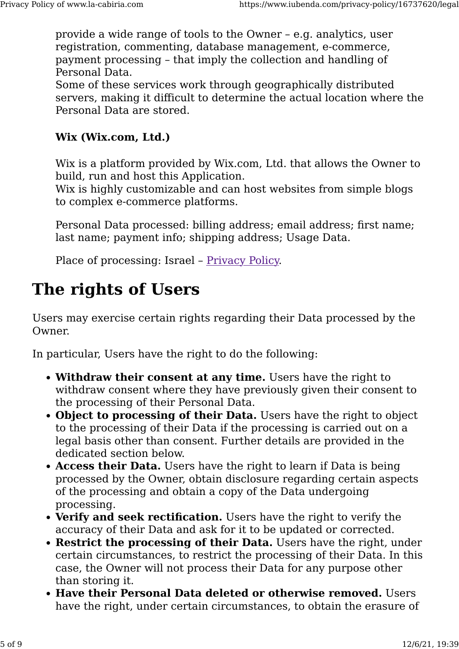provide a wide range of tools to the Owner – e.g. analytics, user registration, commenting, database management, e-commerce, payment processing – that imply the collection and handling of Personal Data.

Some of these services work through geographically distributed servers, making it difficult to determine the actual location where the Personal Data are stored.

#### **Wix (Wix.com, Ltd.)**

Wix is a platform provided by Wix.com, Ltd. that allows the Owner to build, run and host this Application.

Wix is highly customizable and can host websites from simple blogs to complex e-commerce platforms.

Personal Data processed: billing address; email address; first name; last name; payment info; shipping address; Usage Data.

Place of processing: Israel – [Privacy Policy.](https://www.wix.com/about/privacy)

## **The rights of Users**

Users may exercise certain rights regarding their Data processed by the Owner.

In particular, Users have the right to do the following:

- **Withdraw their consent at any time.** Users have the right to withdraw consent where they have previously given their consent to the processing of their Personal Data.
- **Object to processing of their Data.** Users have the right to object to the processing of their Data if the processing is carried out on a legal basis other than consent. Further details are provided in the dedicated section below.
- **Access their Data.** Users have the right to learn if Data is being processed by the Owner, obtain disclosure regarding certain aspects of the processing and obtain a copy of the Data undergoing processing.
- **Verify and seek rectification.** Users have the right to verify the accuracy of their Data and ask for it to be updated or corrected.
- **Restrict the processing of their Data.** Users have the right, under certain circumstances, to restrict the processing of their Data. In this case, the Owner will not process their Data for any purpose other than storing it.
- **Have their Personal Data deleted or otherwise removed.** Users have the right, under certain circumstances, to obtain the erasure of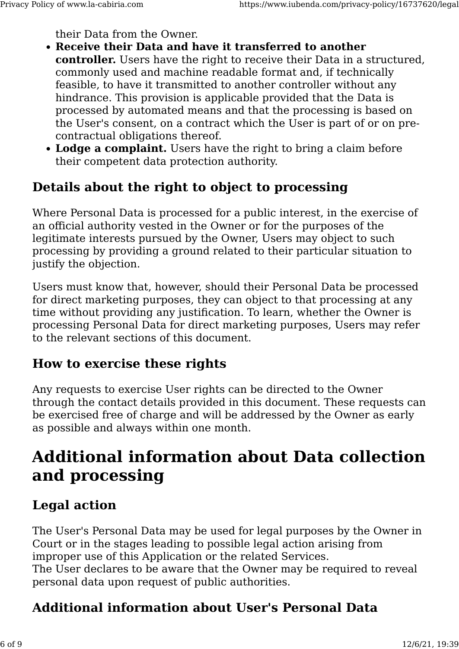their Data from the Owner.

- **Receive their Data and have it transferred to another controller.** Users have the right to receive their Data in a structured, commonly used and machine readable format and, if technically feasible, to have it transmitted to another controller without any hindrance. This provision is applicable provided that the Data is processed by automated means and that the processing is based on the User's consent, on a contract which the User is part of or on precontractual obligations thereof.
- **Lodge a complaint.** Users have the right to bring a claim before their competent data protection authority.

#### **Details about the right to object to processing**

Where Personal Data is processed for a public interest, in the exercise of an official authority vested in the Owner or for the purposes of the legitimate interests pursued by the Owner, Users may object to such processing by providing a ground related to their particular situation to justify the objection.

Users must know that, however, should their Personal Data be processed for direct marketing purposes, they can object to that processing at any time without providing any justification. To learn, whether the Owner is processing Personal Data for direct marketing purposes, Users may refer to the relevant sections of this document.

#### **How to exercise these rights**

Any requests to exercise User rights can be directed to the Owner through the contact details provided in this document. These requests can be exercised free of charge and will be addressed by the Owner as early as possible and always within one month.

## **Additional information about Data collection and processing**

### **Legal action**

The User's Personal Data may be used for legal purposes by the Owner in Court or in the stages leading to possible legal action arising from improper use of this Application or the related Services. The User declares to be aware that the Owner may be required to reveal personal data upon request of public authorities.

## **Additional information about User's Personal Data**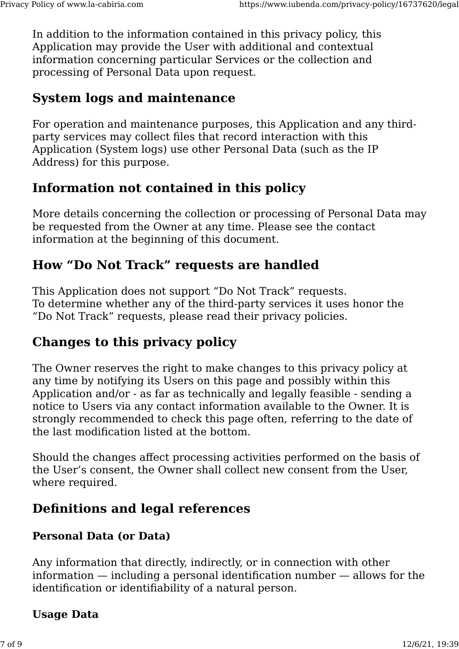In addition to the information contained in this privacy policy, this Application may provide the User with additional and contextual information concerning particular Services or the collection and processing of Personal Data upon request.

#### **System logs and maintenance**

For operation and maintenance purposes, this Application and any thirdparty services may collect files that record interaction with this Application (System logs) use other Personal Data (such as the IP Address) for this purpose.

### **Information not contained in this policy**

More details concerning the collection or processing of Personal Data may be requested from the Owner at any time. Please see the contact information at the beginning of this document.

### **How "Do Not Track" requests are handled**

This Application does not support "Do Not Track" requests. To determine whether any of the third-party services it uses honor the "Do Not Track" requests, please read their privacy policies.

### **Changes to this privacy policy**

The Owner reserves the right to make changes to this privacy policy at any time by notifying its Users on this page and possibly within this Application and/or - as far as technically and legally feasible - sending a notice to Users via any contact information available to the Owner. It is strongly recommended to check this page often, referring to the date of the last modification listed at the bottom.

Should the changes affect processing activities performed on the basis of the User's consent, the Owner shall collect new consent from the User, where required.

## **Definitions and legal references**

#### **Personal Data (or Data)**

Any information that directly, indirectly, or in connection with other information — including a personal identification number — allows for the identification or identifiability of a natural person.

#### **Usage Data**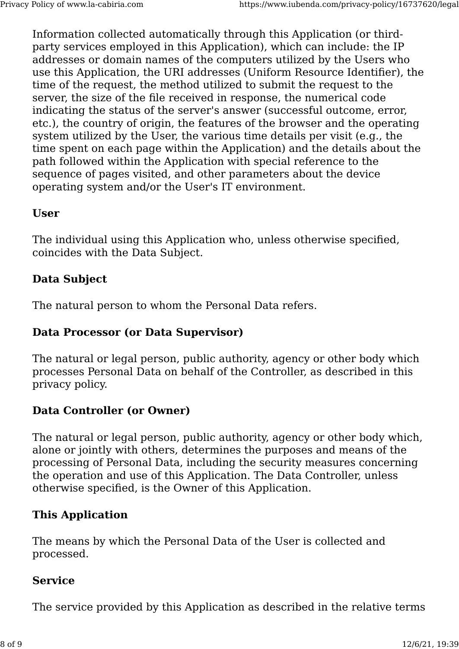Information collected automatically through this Application (or thirdparty services employed in this Application), which can include: the IP addresses or domain names of the computers utilized by the Users who use this Application, the URI addresses (Uniform Resource Identifier), the time of the request, the method utilized to submit the request to the server, the size of the file received in response, the numerical code indicating the status of the server's answer (successful outcome, error, etc.), the country of origin, the features of the browser and the operating system utilized by the User, the various time details per visit (e.g., the time spent on each page within the Application) and the details about the path followed within the Application with special reference to the sequence of pages visited, and other parameters about the device operating system and/or the User's IT environment.

#### **User**

The individual using this Application who, unless otherwise specified, coincides with the Data Subject.

#### **Data Subject**

The natural person to whom the Personal Data refers.

#### **Data Processor (or Data Supervisor)**

The natural or legal person, public authority, agency or other body which processes Personal Data on behalf of the Controller, as described in this privacy policy.

#### **Data Controller (or Owner)**

The natural or legal person, public authority, agency or other body which, alone or jointly with others, determines the purposes and means of the processing of Personal Data, including the security measures concerning the operation and use of this Application. The Data Controller, unless otherwise specified, is the Owner of this Application.

#### **This Application**

The means by which the Personal Data of the User is collected and processed.

#### **Service**

The service provided by this Application as described in the relative terms